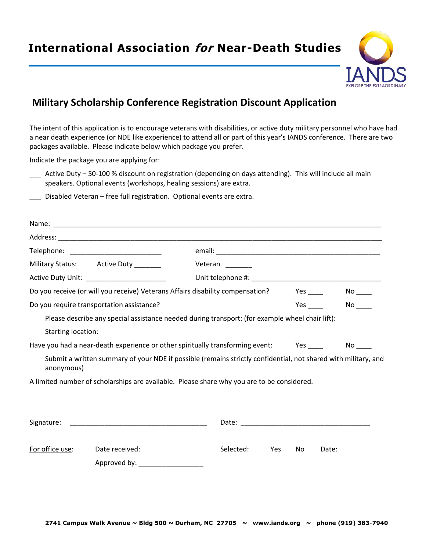## **International Association for Near-Death Studies**



## **Military Scholarship Conference Registration Discount Application**

The intent of this application is to encourage veterans with disabilities, or active duty military personnel who have had a near death experience (or NDE like experience) to attend all or part of this year's IANDS conference. There are two packages available. Please indicate below which package you prefer.

Indicate the package you are applying for:

- \_\_\_ Active Duty 50-100 % discount on registration (depending on days attending). This will include all main speakers. Optional events (workshops, healing sessions) are extra.
- Disabled Veteran free full registration. Optional events are extra.

|                                                                                        | Military Status: Active Duty _______       | Veteran                                                                                                        |    |                                                                                                                                                                                                                                                             |
|----------------------------------------------------------------------------------------|--------------------------------------------|----------------------------------------------------------------------------------------------------------------|----|-------------------------------------------------------------------------------------------------------------------------------------------------------------------------------------------------------------------------------------------------------------|
|                                                                                        | Active Duty Unit: ________________________ |                                                                                                                |    |                                                                                                                                                                                                                                                             |
| Do you receive (or will you receive) Veterans Affairs disability compensation?         |                                            |                                                                                                                |    |                                                                                                                                                                                                                                                             |
| Do you require transportation assistance?                                              |                                            |                                                                                                                |    | $No$ <sub>____</sub><br><b>Yes</b> and the set of the set of the set of the set of the set of the set of the set of the set of the set of the set of the set of the set of the set of the set of the set of the set of the set of the set of the set of the |
|                                                                                        |                                            | Please describe any special assistance needed during transport: (for example wheel chair lift):                |    |                                                                                                                                                                                                                                                             |
| <b>Starting location:</b>                                                              |                                            |                                                                                                                |    |                                                                                                                                                                                                                                                             |
| Have you had a near-death experience or other spiritually transforming event: Yes ____ |                                            |                                                                                                                |    | No                                                                                                                                                                                                                                                          |
| anonymous)                                                                             |                                            | Submit a written summary of your NDE if possible (remains strictly confidential, not shared with military, and |    |                                                                                                                                                                                                                                                             |
|                                                                                        |                                            | A limited number of scholarships are available. Please share why you are to be considered.                     |    |                                                                                                                                                                                                                                                             |
|                                                                                        |                                            |                                                                                                                |    |                                                                                                                                                                                                                                                             |
|                                                                                        |                                            |                                                                                                                |    |                                                                                                                                                                                                                                                             |
|                                                                                        |                                            |                                                                                                                |    |                                                                                                                                                                                                                                                             |
|                                                                                        |                                            |                                                                                                                |    |                                                                                                                                                                                                                                                             |
| For office use:                                                                        | Date received:                             | Selected:<br><b>Yes</b>                                                                                        | No | Date:                                                                                                                                                                                                                                                       |
|                                                                                        | Approved by: _                             |                                                                                                                |    |                                                                                                                                                                                                                                                             |